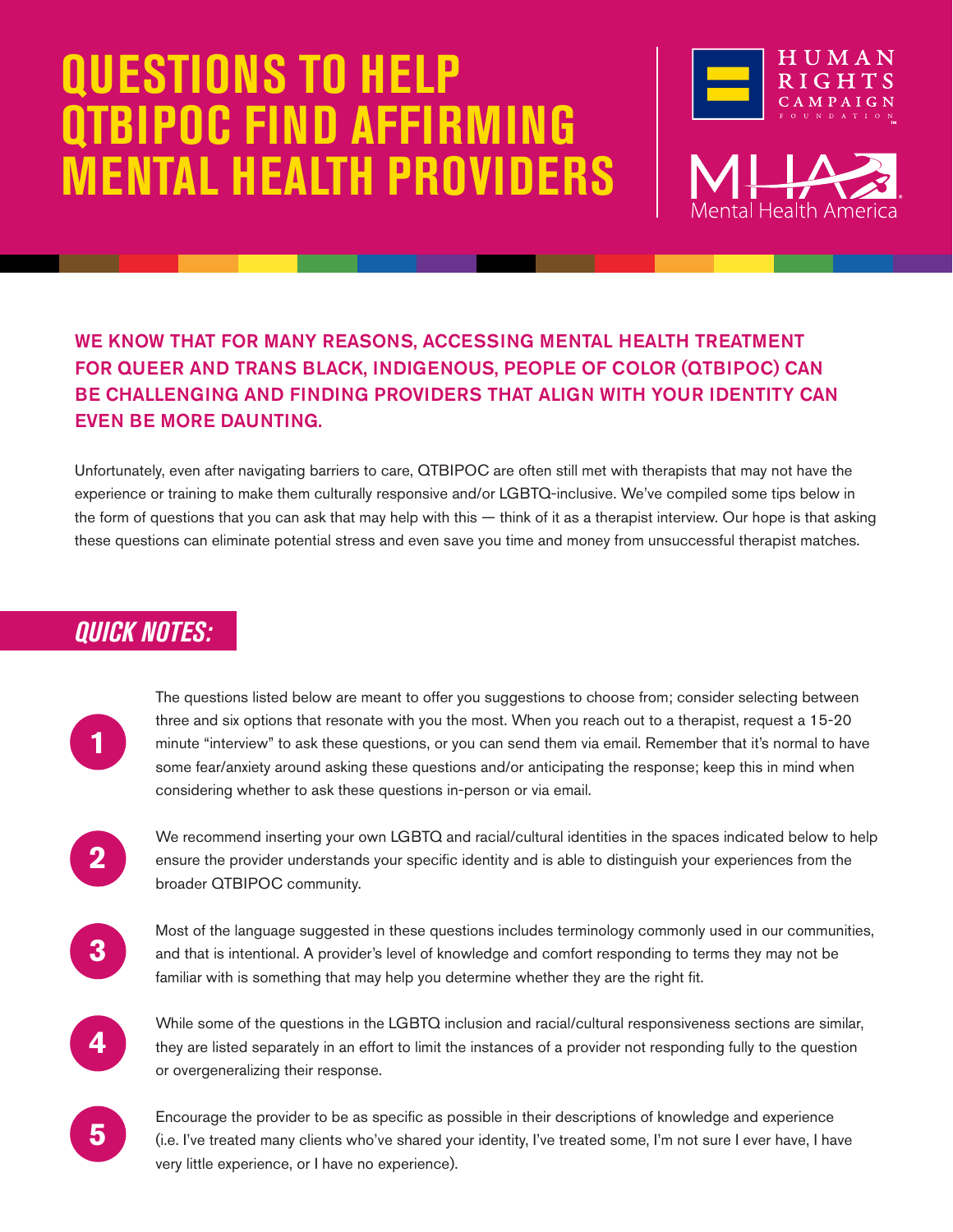

lealth-

#### WE KNOW THAT FOR MANY REASONS, ACCESSING MENTAL HEALTH TREATMENT FOR QUEER AND TRANS BLACK, INDIGENOUS, PEOPLE OF COLOR (QTBIPOC) CAN BE CHALLENGING AND FINDING PROVIDERS THAT ALIGN WITH YOUR IDENTITY CAN EVEN BE MORE DAUNTING.

Unfortunately, even after navigating barriers to care, QTBIPOC are often still met with therapists that may not have the experience or training to make them culturally responsive and/or LGBTQ-inclusive. We've compiled some tips below in the form of questions that you can ask that may help with this — think of it as a therapist interview. Our hope is that asking these questions can eliminate potential stress and even save you time and money from unsuccessful therapist matches.

### *QUICK NOTES:*



The questions listed below are meant to offer you suggestions to choose from; consider selecting between three and six options that resonate with you the most. When you reach out to a therapist, request a 15-20 minute "interview" to ask these questions, or you can send them via email. Remember that it's normal to have some fear/anxiety around asking these questions and/or anticipating the response; keep this in mind when considering whether to ask these questions in-person or via email.



We recommend inserting your own LGBTQ and racial/cultural identities in the spaces indicated below to help ensure the provider understands your specific identity and is able to distinguish your experiences from the broader QTBIPOC community.



Most of the language suggested in these questions includes terminology commonly used in our communities, and that is intentional. A provider's level of knowledge and comfort responding to terms they may not be familiar with is something that may help you determine whether they are the right fit.



While some of the questions in the LGBTQ inclusion and racial/cultural responsiveness sections are similar, they are listed separately in an effort to limit the instances of a provider not responding fully to the question or overgeneralizing their response.



Encourage the provider to be as specific as possible in their descriptions of knowledge and experience (i.e. I've treated many clients who've shared your identity, I've treated some, I'm not sure I ever have, I have very little experience, or I have no experience).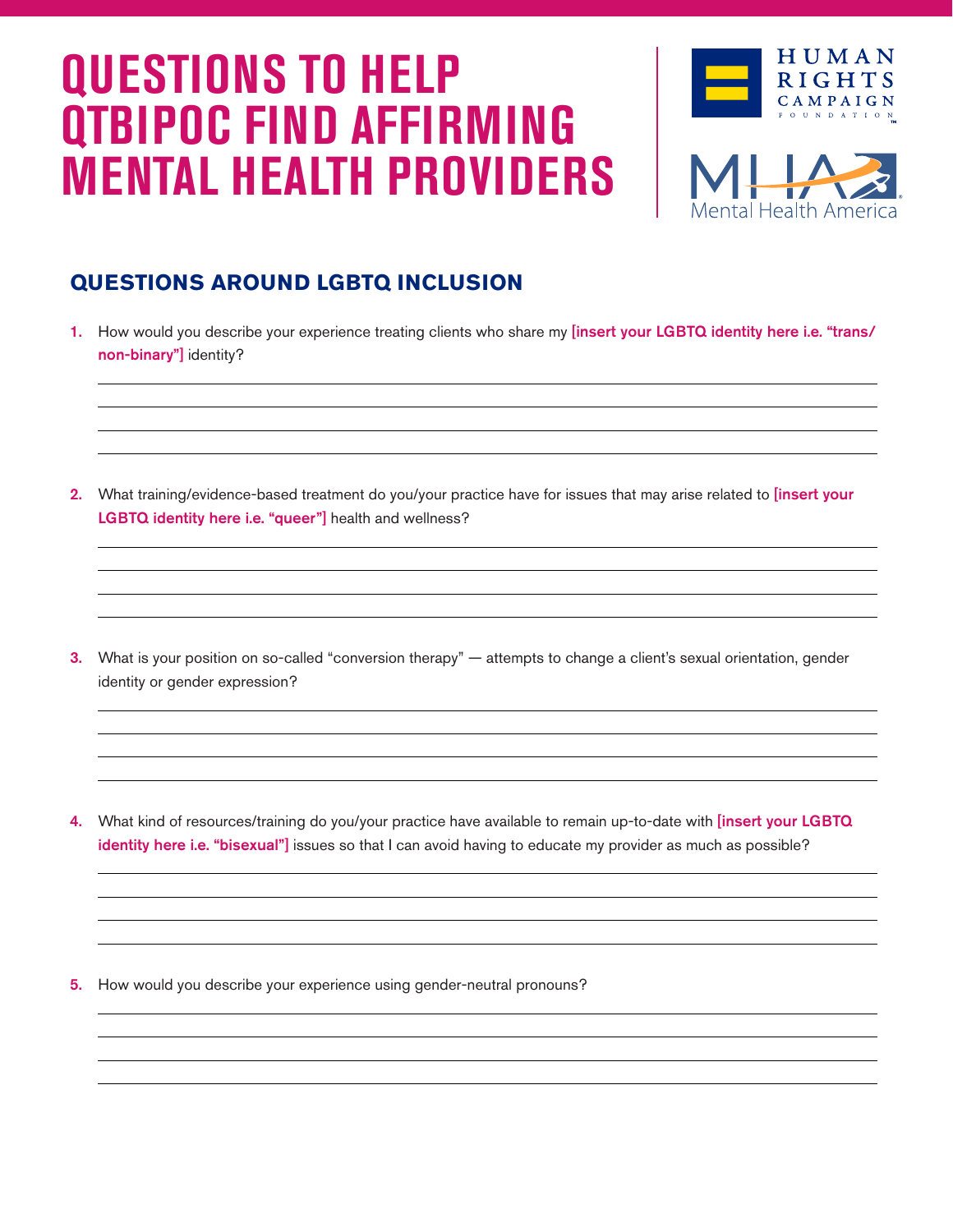

#### **QUESTIONS AROUND LGBTQ INCLUSION**

- 1. How would you describe your experience treating clients who share my [insert your LGBTQ identity here i.e. "trans/ non-binary"] identity?
- 2. What training/evidence-based treatment do you/your practice have for issues that may arise related to [insert your LGBTQ identity here i.e. "queer"] health and wellness?
- 3. What is your position on so-called "conversion therapy" attempts to change a client's sexual orientation, gender identity or gender expression?
- 4. What kind of resources/training do you/your practice have available to remain up-to-date with [insert your LGBTQ identity here i.e. "bisexual"] issues so that I can avoid having to educate my provider as much as possible?

5. How would you describe your experience using gender-neutral pronouns?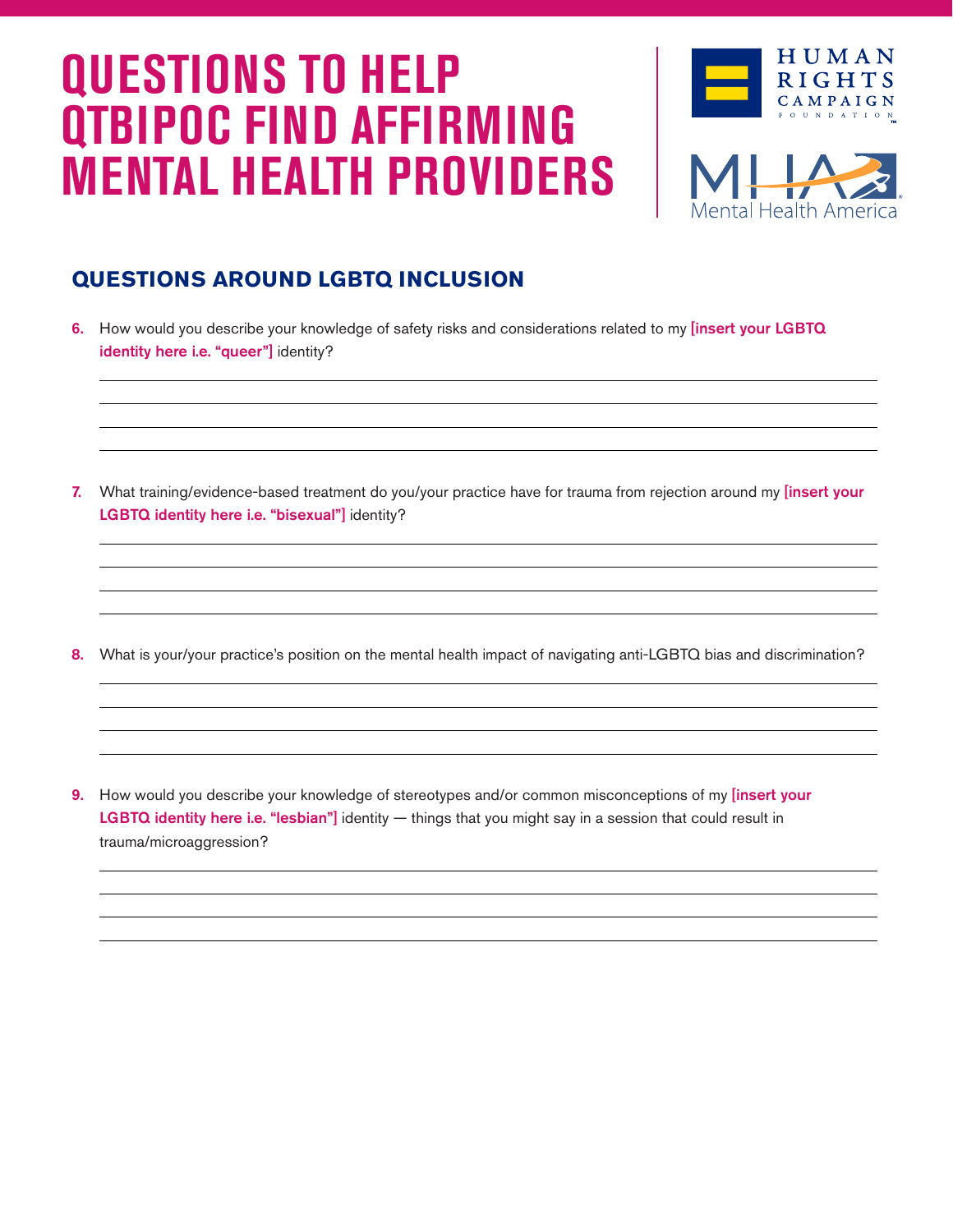

#### **QUESTIONS AROUND LGBTQ INCLUSION**

- 6. How would you describe your knowledge of safety risks and considerations related to my [insert your LGBTQ identity here i.e. "queer"] identity?
- 7. What training/evidence-based treatment do you/your practice have for trauma from rejection around my [insert your LGBTQ identity here i.e. "bisexual"] identity?

8. What is your/your practice's position on the mental health impact of navigating anti-LGBTQ bias and discrimination?

9. How would you describe your knowledge of stereotypes and/or common misconceptions of my [insert your LGBTQ identity here i.e. "lesbian"] identity — things that you might say in a session that could result in trauma/microaggression?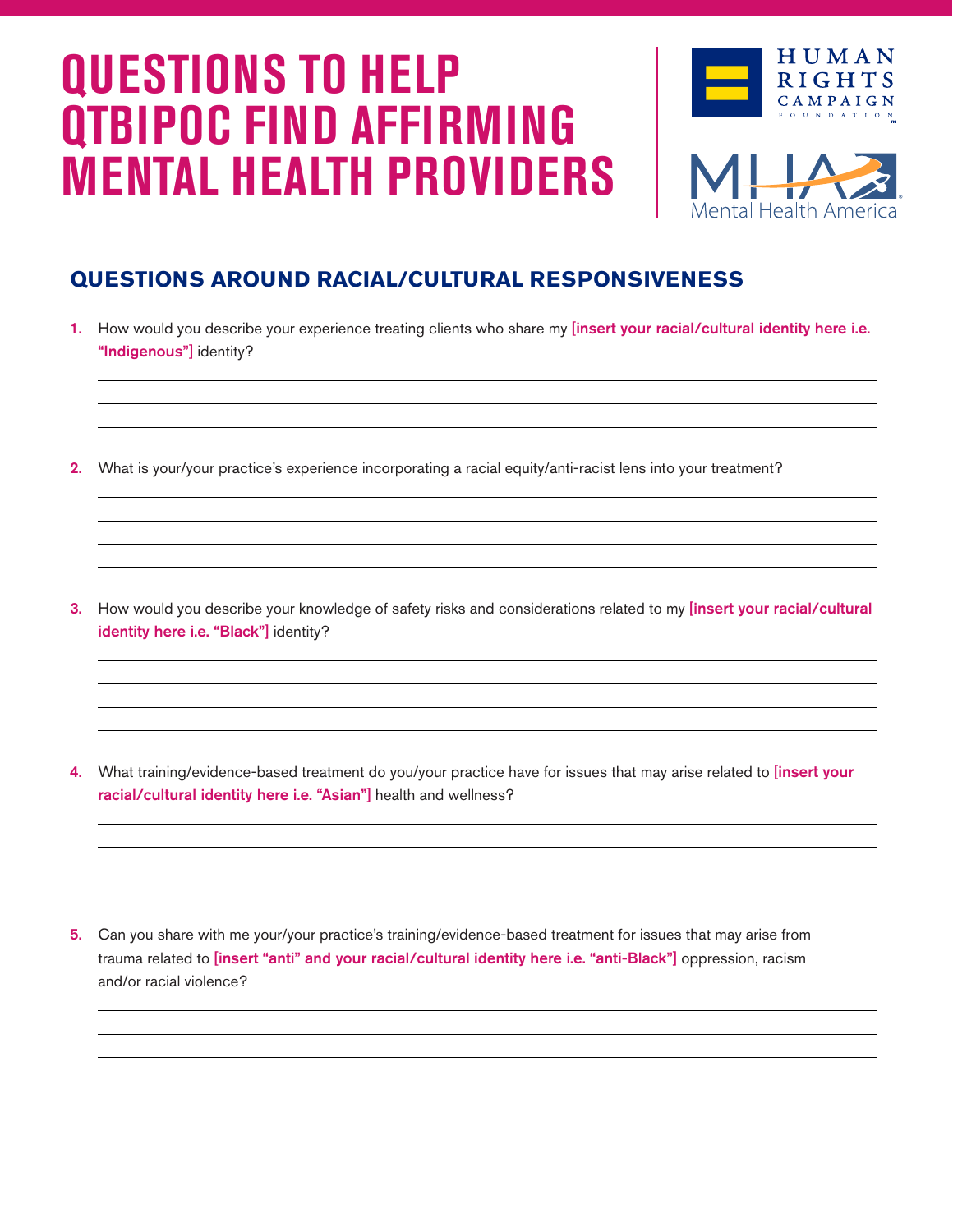

#### **QUESTIONS AROUND RACIAL/CULTURAL RESPONSIVENESS**

- 1. How would you describe your experience treating clients who share my [insert your racial/cultural identity here i.e. "Indigenous"] identity?
- 2. What is your/your practice's experience incorporating a racial equity/anti-racist lens into your treatment?
- 3. How would you describe your knowledge of safety risks and considerations related to my [insert your racial/cultural identity here i.e. "Black"] identity?

4. What training/evidence-based treatment do you/your practice have for issues that may arise related to [insert your racial/cultural identity here i.e. "Asian"] health and wellness?

5. Can you share with me your/your practice's training/evidence-based treatment for issues that may arise from trauma related to *[insert "anti" and your racial/cultural identity here i.e. "anti-Black"]* oppression, racism and/or racial violence?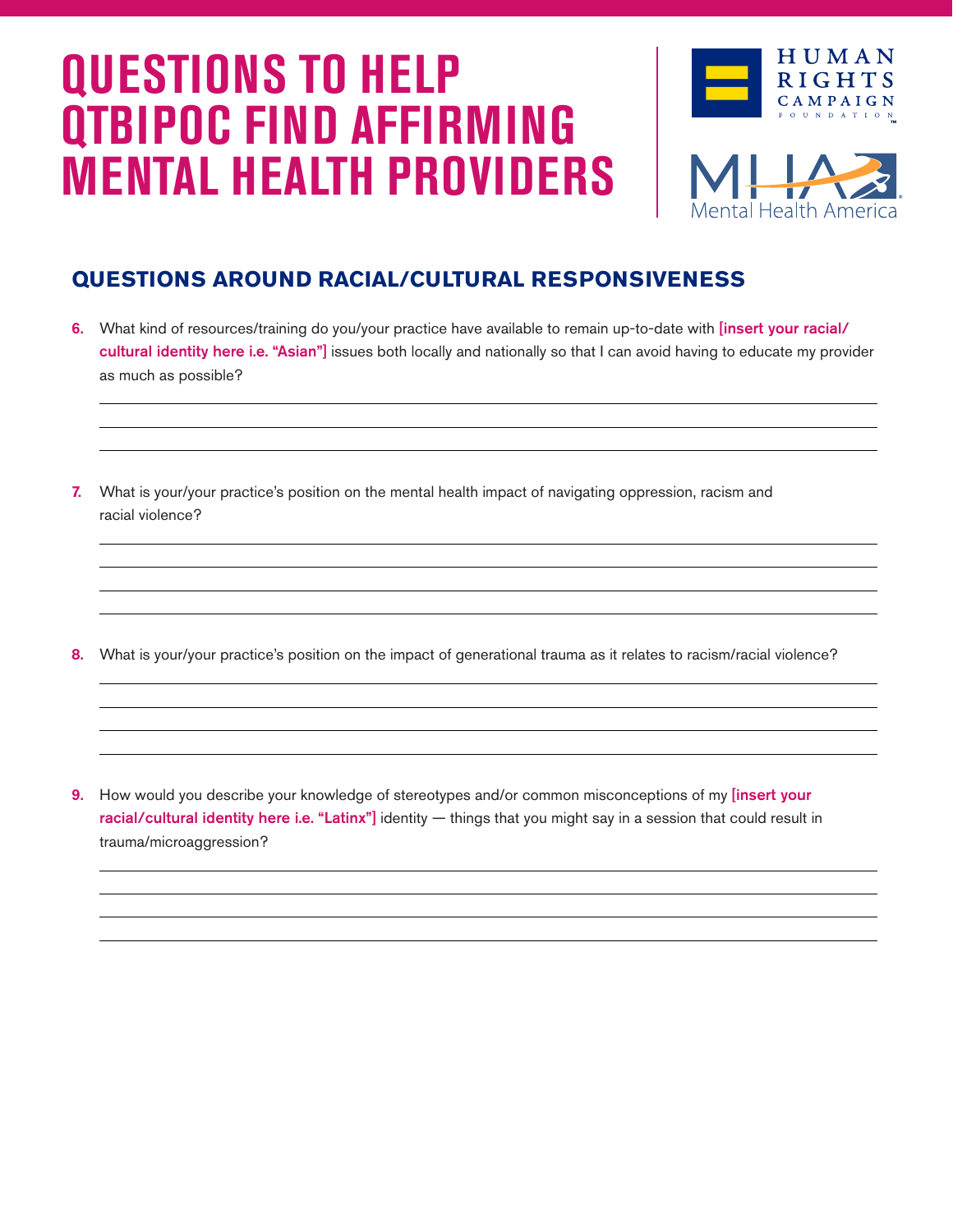

#### **QUESTIONS AROUND RACIAL/CULTURAL RESPONSIVENESS**

- 6. What kind of resources/training do you/your practice have available to remain up-to-date with [insert your racial/ cultural identity here i.e. "Asian"] issues both locally and nationally so that I can avoid having to educate my provider as much as possible?
- 7. What is your/your practice's position on the mental health impact of navigating oppression, racism and racial violence?

8. What is your/your practice's position on the impact of generational trauma as it relates to racism/racial violence?

9. How would you describe your knowledge of stereotypes and/or common misconceptions of my [insert your racial/cultural identity here i.e. "Latinx"] identity — things that you might say in a session that could result in trauma/microaggression?